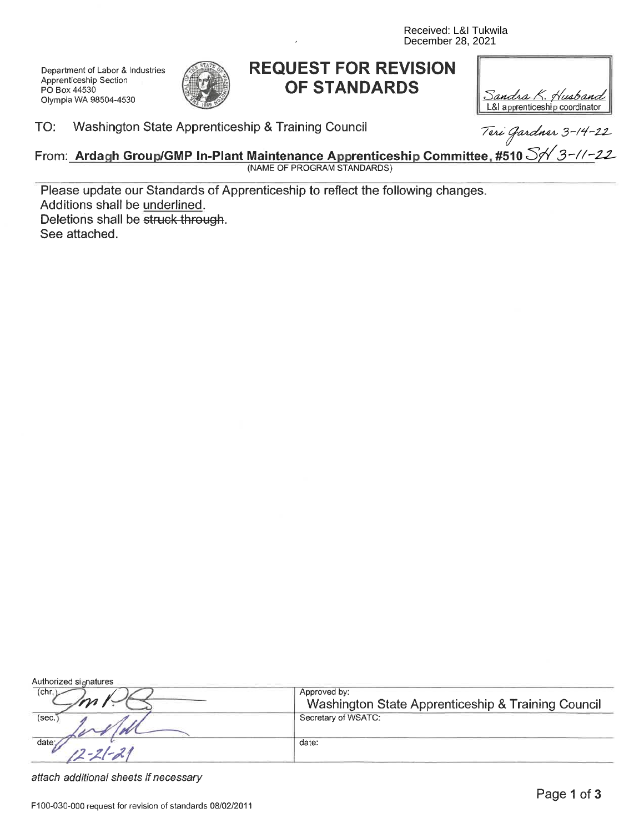Received: L&I Tukwila December 28, 2021

Department of Labor & Industries Apprenticeship Section PO Box 44530 Olympia WA 98504-4530



# **REQUEST FOR REVISION** OF STANDARDS

| Sandra K. Husband              |
|--------------------------------|
| L&I apprenticeship coordinator |

# o. vvasiningion State Apprenticeship & Training Council Texi Gardner 3-14-22<br>From: Ardagh Group/GMP In-Plant Maintenance Apprenticeship Committee, #510 S/ 3-11-22 (NAME OF PROGRAM STANDARDS)

Please update our Standards of Apprenticeship to reflect the following changes. Additions shall be underlined. Deletions shall be struck through. See attached.

| Authorized signatures |                                                                    |
|-----------------------|--------------------------------------------------------------------|
| (chr.                 | Approved by:<br>Washington State Apprenticeship & Training Council |
| (sec.)                | Secretary of WSATC:                                                |
| date                  | date:                                                              |

attach additional sheets if necessary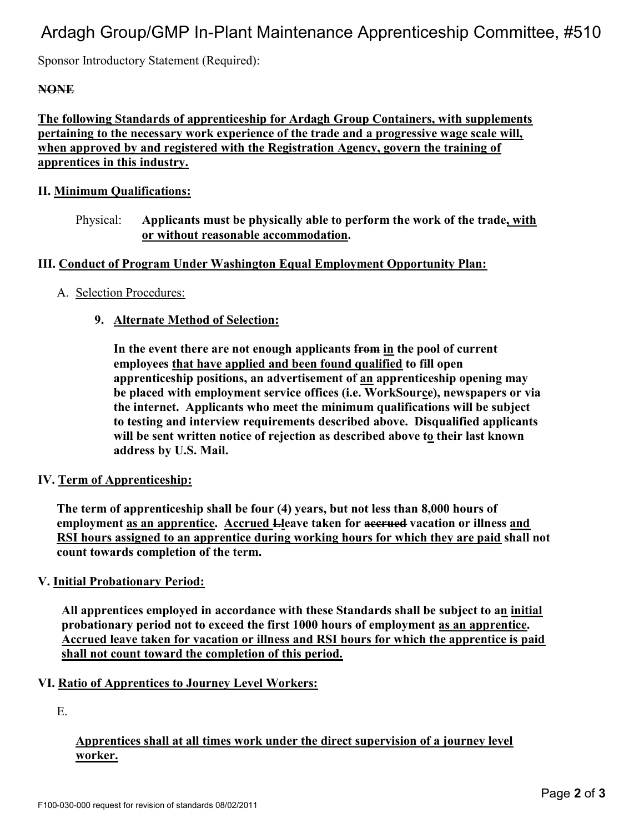# Ardagh Group/GMP In-Plant Maintenance Apprenticeship Committee, #510

Sponsor Introductory Statement (Required):

# **NONE**

The following Standards of apprenticeship for Ardagh Group Containers, with supplements pertaining to the necessary work experience of the trade and a progressive wage scale will, when approved by and registered with the Registration Agency, govern the training of apprentices in this industry.

#### II. Minimum Qualifications:

Physical: Applicants must be physically able to perform the work of the trade, with or without reasonable accommodation.

#### III. Conduct of Program Under Washington Equal Employment Opportunity Plan:

#### A. Selection Procedures:

# 9. Alternate Method of Selection:

In the event there are not enough applicants from in the pool of current employees that have applied and been found qualified to fill open apprenticeship positions, an advertisement of an apprenticeship opening may be placed with employment service offices (i.e. WorkSource), newspapers or via the internet. Applicants who meet the minimum qualifications will be subject to testing and interview requirements described above. Disqualified applicants will be sent written notice of rejection as described above to their last known address by U.S. Mail.

#### IV. Term of Apprenticeship:

The term of apprenticeship shall be four (4) years, but not less than 8,000 hours of employment as an apprentice. Accrued Lleave taken for accrued vacation or illness and RSI hours assigned to an apprentice during working hours for which they are paid shall not count towards completion of the term.

#### V. Initial Probationary Period:

All apprentices employed in accordance with these Standards shall be subject to an initial probationary period not to exceed the first 1000 hours of employment as an apprentice. Accrued leave taken for vacation or illness and RSI hours for which the apprentice is paid shall not count toward the completion of this period.

#### VI. Ratio of Apprentices to Journey Level Workers:

E.

# Apprentices shall at all times work under the direct supervision of a journey level worker.